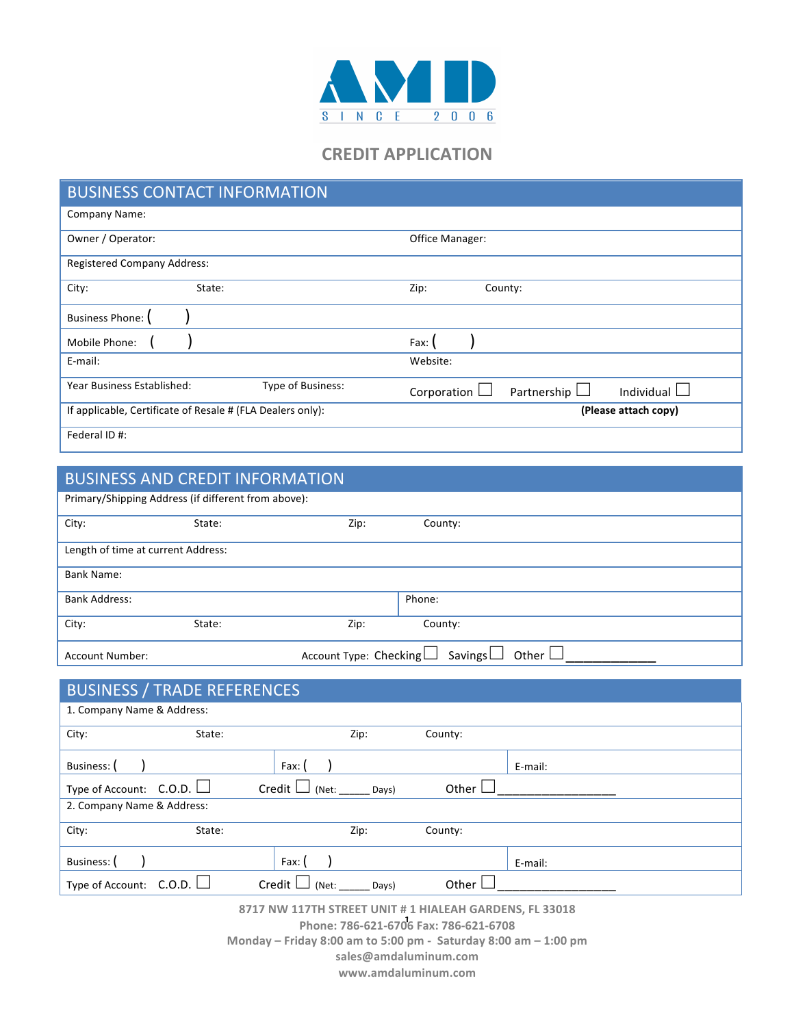

## **CREDIT APPLICATION**

| <b>BUSINESS CONTACT INFORMATION</b>                                                |                                                 |  |  |
|------------------------------------------------------------------------------------|-------------------------------------------------|--|--|
| Company Name:                                                                      |                                                 |  |  |
| Owner / Operator:<br>Office Manager:                                               |                                                 |  |  |
| <b>Registered Company Address:</b>                                                 |                                                 |  |  |
| City:<br>State:                                                                    | Zip:<br>County:                                 |  |  |
| <b>Business Phone:</b>                                                             |                                                 |  |  |
| Mobile Phone:                                                                      | Fax: (                                          |  |  |
| E-mail:                                                                            | Website:                                        |  |  |
| Type of Business:<br>Year Business Established:                                    | Corporation $\Box$<br>Individual<br>Partnership |  |  |
| If applicable, Certificate of Resale # (FLA Dealers only):<br>(Please attach copy) |                                                 |  |  |
| Federal ID #:                                                                      |                                                 |  |  |

| <b>BUSINESS AND CREDIT INFORMATION</b>                                      |        |      |         |  |
|-----------------------------------------------------------------------------|--------|------|---------|--|
| Primary/Shipping Address (if different from above):                         |        |      |         |  |
| City:                                                                       | State: | Zip: | County: |  |
| Length of time at current Address:                                          |        |      |         |  |
| Bank Name:                                                                  |        |      |         |  |
| <b>Bank Address:</b>                                                        |        |      | Phone:  |  |
| City:                                                                       | State: | Zip: | County: |  |
| Account Type: Checking<br>Savings $\Box$<br>Other $\Box$<br>Account Number: |        |      |         |  |

| <b>BUSINESS / TRADE REFERENCES</b> |        |                            |         |         |
|------------------------------------|--------|----------------------------|---------|---------|
| 1. Company Name & Address:         |        |                            |         |         |
| City:                              | State: | Zip:                       | County: |         |
| Business:                          |        | Fax: I                     |         | E-mail: |
| Type of Account: $C.O.D.$          |        | Credit<br>(Net:<br>Days)   | Other   |         |
| 2. Company Name & Address:         |        |                            |         |         |
| City:                              | State: | Zip:                       | County: |         |
| Business:                          |        | Fax:                       |         | E-mail: |
| Type of Account: $C.O.D.$          |        | Credit L<br>Days)<br>(Net: | Other   |         |

**8717 NW 117TH STREET UNIT # 1 HIALEAH GARDENS, FL 33018 Phone: 786-621-6706 Fax: 786-621-6708** 1 **Monday – Friday 8:00 am to 5:00 pm - Saturday 8:00 am – 1:00 pm sales@amdaluminum.com www.amdaluminum.com**